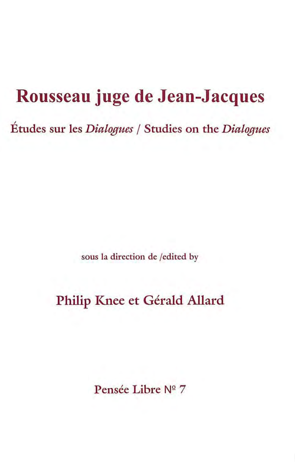# **Rousseau juge de Jean-Jacques**

, Etudes sur les *Dialogues* / Studies on the *Dialogues* 

sous la direction de /edited by

## Philip Knee et Gérald Allard

Pensée Libre Nº 7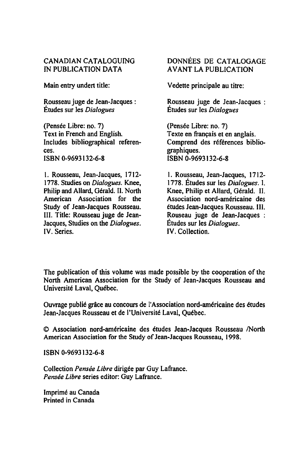#### CANADIAN CATALOGUING IN PUBLICATION DATA

Main entry undert title:

Rousseau juge de Jean-Jacques: Études sur les *Dialogues* 

(Pensée Libre: no. 7) Text in French and English. Includes bibliographical references. ISBN 0-9693132-6-8

1. Rousseau, Jean-Jacques, 1712- 1778. Studies on *Dialogues.* Knee, Philip and Allard, Gérald. Il. North American Association for the Study of Jean-Jacques Rousseau. III. Tille: Rousseau juge de Jean-Jacques, Studies on the *Dialogues.*  IV. Series.

#### DONNÉES DE CATALOGAGE A V ANT LA PUBLICATION

Vedette principale au titre:

Rousseau juge de Jean-Jacques : Études sur les *Dialogues* 

(Pensée Libre: no. 7) Texte en français et en anglais. Comprend des références bibliographiques. ISBN 0-9693132-6-8

1. Rousseau, Jean-Jacques, 1712- 1778. Études sur les *Dialogues.* l. Knee, Philip et Allard, Gérald. II. Association nord-américaine des études Jean-Jacques Rousseau. III. Rouseau juge de Jean-Jacques Études sur les *Dialogues.*  IV. Collection.

The publication of this volume was made possible by the cooperation of the North American Association for the Study of Jean-Jacques Rousseau and Université Laval, Québec.

Ouvrage publié grâce au concours de l'Association nord-américaine des études Jean-Jacques Rousseau et de l'Université Laval, Québec.

© Association nord-américaine des études Jean-Jacques Rousseau /North American Association for the Study of Jean-Jacques Rousseau, 1998.

ISBN 0-9693132-6-8

Collection *Pensée Libre* dirigée par Guy Lafrance. *Pensée Libre* series editor: Guy Lafrance.

Imprimé au Canada Printed in Canada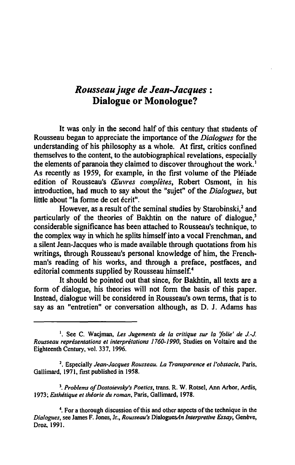### *Rousseau juge de Jean-Jacques:*  Dialogue or Monologue?

It was only in the second half of this century that students of Rousseau began to appreciate the importance of the *Dialogues* for the understanding of his philosophy as a whole. At first, critics confined themselves to the content, to the autobiographical revelations, especially the elements of paranoia they claimed to discover throughout the work.<sup>1</sup> As recently as 1959, for example, in the first volume of the Pléiade edition of Rousseau's *Œuvres complètes,* Robert Osmont, in his introduction, had much to say about the "sujet" of the *Dialogues,* but little about "la forme de cet écrit".

However, as a result of the seminal studies by Starobinski,<sup>2</sup> and particularly of the theories of Bakhtin on the nature of dialogue,<sup>3</sup> considerable significance has been attached to Rousseau's technique, to the complex way in which he splits himself into a vocal Frenchman, and a silent Jean-Jacques who is made available through quotations from his writings, through Rousseau's personal knowledge of him, the Frenchman's reading of his works, and through a preface, postfaces, and editorial comments supplied by Rousseau himself.<sup>4</sup>

It should be pointed out that since, for Bakhtin, ail texts are a form of dialogue, his theories will not form the basis of this paper. Instead, dialogue will be considered in Rousseau's own terms, that is to say as an "entretien" or conversation although, as D. J. Adams has

*3. Problems of Dostoievsky's Poetics,* trans. R. W. Rotsel, Ann Arbor, Ardis, *1973; Esthétique et théorie du roman,* Paris, Gallimard. 1978.

<sup>4</sup>. For a thorough discussion of this and other aspects of the technique in the *Dialogues,* see James F. Jones, Jr., *Rousseau's* DialoguesAn *lnterpretive Essay,* Genève, Droz, 1991.

<sup>1.</sup> See C. Wacjman, *Les Jugements de la critique sur la 'folie' de* J-J. *Rousseau représentations et interprétations 1760.1990,* Studies on Voltaire and the Eighteenth Century, vol. 337, 1996.

<sup>2.</sup> Especially *Jean-Jacques Rousseau. La Transparence et l'obstacle,* Paris, Gallimard, 1971, first published in 1958.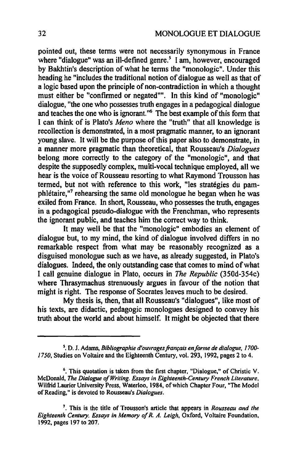pointed out, these terms were not necessarily synonymous in France where "dialogue" was an ill-defined genre. $\frac{s}{n}$  1 am, however, encouraged by Bakhtin's description of what he terms the "monologic". Under this heading he "includes the traditional notion of dialogue as weil as that of a logic based upon the principle of non-contradiction in which a thought must either be "confirmed or negated"". In this kind of "monologic" dialogue, "the one who possesses truth engages in a pedagogical dialogue and teaches the one who is ignorant."<sup>6</sup> The best example of this form that 1 can think of is Plato's *Meno* where the "truth" that ail knowledge is recollection is demonstrated, in a most pragmatic manner, to an ignorant young slave. It will be the purpose of this paper also to demonstrate, in a manner more pragmatic than theoretical, that Rousseau's *Dialogues*  belong more correctly to the category of the "monologic", and that despite the supposedly complex, multi-vocal technique employed, ail we hear is the voice of Rousseau resorting to what Raymond Trousson has termed, but not with reference to this work, "les stratégies du pamphlétaire,"7 rehearsing the same old monologue he began when he was exiled from France. In short, Rousseau, who possesses the truth, engages in a pedagogical pseudo-dialogue with the Frenchman, who represents the ignorant public, and teaches him the correct way to think.

It may weil be that the "monologic" embodies an element of dialogue but, to my mind, the kind of dialogue involved differs in no remarkable respect from what may be reasonably recognized as a disguised monologue such as we have, as already suggested, in Plato's dialogues. Indeed, the only outstanding case that comes to mind of what 1 cali genuine dialogue in Plato, occurs in *The Republic* (350d-354c) where Thrasymachus strenuously argues in favour of the notion that might is right. The response of Socrates leaves much to be desired.

My thesis is, then, that ail Rousseau's "dialogues", like most of his texts, are didactic, pedagogic monologues designed to convey his truth about the world and about himself. It might be objected that there

s. D. 1. Adams, *Bibliographie d'ouvrages français enforme de dialogue,* J *700- 1750,* Studies on Voltaire and the Eighteenth Century, vol. 293,1992, pages 2 to 4.

<sup>6.</sup> This quotation is taken from the first chapter, "Dialogue," of Christie V. McDonald, *The Dialogue ofWriting. Essays in Eighteenth-Century French Literature,*  Wilfrid Laurier University Press, Waterloo, 1984, of which Chapter Four, "The Model of Reading," is devoted to Rousseau's *Dia/ogues.* 

<sup>7.</sup> This is the title of Trousson's article that appears in *Rousseau and the Eighteenth Century. Essays in Memory of R. A. Leigh,* Oxford, Voltaire Foundation, 1992, pages 197 to 207.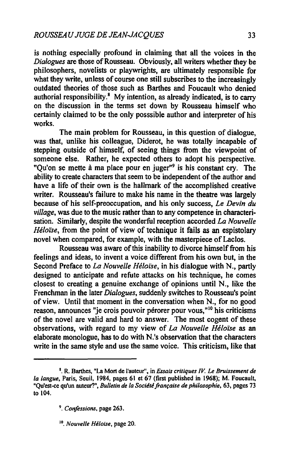is nothing especially profound in claiming that ail the voices in the *Dialogues* are those of Rousseau. Obviously, ail writers whether they be philosophers, novelists or playwrights, are ultimately responsible for what they write, unless of course one still subscribes to the increasingly outdated theories of those such as Barthes and Foucault who denied authorial responsibility.8 My intention, as already indicated, is to carry on the discussion in the tenns set down by Rousseau himself who certainly claimed to be the only posssible author and interpreter of his works.

The main problem for Rousseau, in this question of dialogue, was that, unlike his colleague, Diderot, he was totally incapable of stepping outside of himself, of seeing things from the viewpoint of someone else. Rather, he expected others to adopt his perspective. "Qu'on se mette à ma place pour en juger"9 is his constant cry. The ability to create characters that seem to be independent of the author and have a Iife of their own is the hallmark of the accomplished creative writer. Rousseau's failure to make his name in the theatre was largely because of his self-preoccupation, and his only success, *Le Devin du village,* was due to the music rather than to any competence in characterisation. Similarly, despite the wonderful reception accorded *La Nouvelle Héloïse,* from the point of view of technique it fails as an espistolary novel when compared, for example, with the masterpiece of Laclos.

Rousseau was aware of this inability to divorce himself from his feelings and ideas, to invent a voice different from his own but, in the Second Preface to *La Nouvelle Héloïse,* in his dialogue with N., partly designed to anticipate and refute attacks on his technique, he comes closest to creating a genuine exchange of opinions until N., like the Frenchman in the later *Dialogues,* suddenly switches to Rousseau's point of view. Until that moment in the conversation when N., for no good reason, announces "je crois pouvoir pérorer pour vous,"<sup>10</sup> his criticisms of the novel are valid and hard to answer. The most cogent of these observations, with regard to my view of *La Nouvelle Héloïse* as an elaborate monologue, has to do with N ,'s observation that the characters write in the same style and use the same voice. This criticism, Iike that

<sup>8.</sup> R. Barthes, "La Mort de l'auteur". in *Essais critiques IV.* Le *Bruissement de la langue,* Paris, Seuil, 1984, pages 61 et 67 (first published in 1968); M. Foucault, "Qu'est-ce qu'un auteur?", *Bulletin de la Société française de philosophie.* 63, pages 73 to 104.

<sup>9.</sup> *Confissions.* page 263.

<sup>&</sup>lt;sup>10</sup>. Nouvelle Héloise, page 20.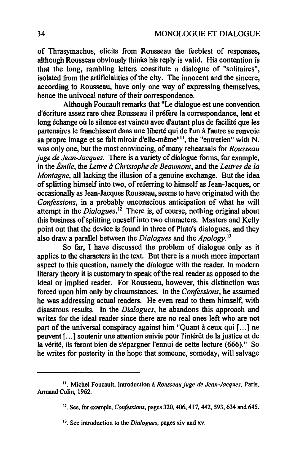of Thrasymachus, elicits from Rousseau the feeblest of responses, although Rousseau obviously thinks his reply is valid. His contention is that the long, rambling letters constitute a dialogue of "solitaires", isolated from the artificialities of the city. The innocent and the sincere, according to Rousseau, have only one way of expressing themselves, hence the univocal nature of their correspondence.

Although Foucault remarks that "Le dialogue est une convention d'écriture assez rare chez Rousseau il préfere la correspondance, lent et long échange où le silence est vaincu avec d'autant plus de facilité que les partenaires le franchissent dans une liberté qui de l'un à l'autre se renvoie sa propre image et se fait miroir d'elle-même"'!, the "entretien" with N. was only one, but the most convincing, of many rehearsals for *Rousseau juge de Jean-Jacques.* There is a variety of dialogue forms, for example, in the *Émile,* the *Lettre à Christophe de Beaumont,* and the *Lettres de la Montagne*, all lacking the illusion of a genuine exchange. But the idea of splitting himself into two, of referring to himself as Jean-Jacques, or occasionallyas Jean-Jacques Rousseau, seems to have originated with the *Confessions,* in a probably unconscious anticipation of what he will attempt in the *Dialogues.* '2 There is, of course, nothing original about this business of splitting oneself into two characters. Masters and Kelly point out that the device is found in three of Plato's dialogues, and they also draw a parallel between the *Dialogues* and the *Apology*.<sup>13</sup>

So far, 1 have discussed the problem of dialogue only as it applies to the characters in the text. But there is a much more important aspect to this question, namely the dialogue with the reader. In modern Iiterary theory it is customary to speak of the real reader as opposed to the ideal or implied reader. For Rousseau, however, this distinction was forced upon him only by circumstances. In the *Confessions,* he assumed he was addressing actual readers. He even read to them himself, with disastrous results. In the *Dialogues,* he abandons this approach and writes for the ideal reader since there are no real ones left who are not part of the universal conspiracy against him "Quant à ceux qui [...] ne peuvent [ ... } soutenir une attention suivie pour l'intérêt de la justice et de la vérité, ils feront bien de s'épargner l'ennui de cette lecture (666)." So he writes for posterity in the hope that someone, someday, will salvage

Il. Michel Foucault, Introduction à *Rousseau juge de Jean-Jacques.* Paris, Armand Colin, 1962.

<sup>&</sup>lt;sup>12</sup>. See, for example, *Confessions*, pages 320, 406, 417, 442, 593, 634 and 645.

<sup>13.</sup> See introduction to the *Dialogues,* pages xiv and xv.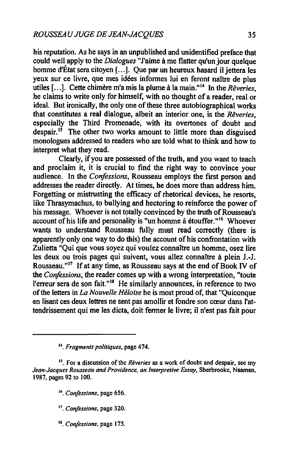his reputation. As he says in an unpublished and unidentified preface that could well apply to the *Dialogues* "J'aime à me flatter qu'un jour quelque homme d'État sera citoyen [...]. Que par un heureux hasard il jettera les yeux sur ce livre, que mes idées informes lui en feront naître de plus utiles [ ... ]. Cette chimère m'a mis la plume à la main."'4 ln the *Rêveries,*  he claims to write only for himself, with no thought of a reader, real or ideal. But ironically, the only one of these three autobiographical works that constitutes a rea) dialogue, albeit an interior one, is the *Rêveries,*  especially the Third Promenade, with its overtones of doubt and despair.<sup>15</sup> The other two works amount to little more than disguised monologues addressed to readers who are told what to think and how to interpret what they read.

Clearly, if you are possessed of the truth, and you want to teach and proclaim it, it is crucial to find the right way to convince your audience. In the *Confessions*, Rousseau employs the first person and addresses the reader directly. At times, he does more than address him. Forgetting or mistrusting the efficacy of rhetorical devices, he resorts, like Thrasymachus, to bullying and hectoring to reinforce the power of his message. Whoever is not totally convinced by the truth of Rousseau's account of his life and personality is "un homme  $\hat{a}$  étouffer."<sup>16</sup> Whoever wants to understand Rousseau fully must read correctly (there is apparently only one way to do this) the account of his confrontation with Zulietta "Qui que vous soyez qui voulez connaître un homme, osez lire les deux ou trois pages qui suivent, vous allez connaître à plein 1.-J. Rousseau."<sup>17</sup> If at any time, as Rousseau says at the end of Book IV of the *Confessions,* the reader cornes up with a wrong interpretation, "toute l'erreur sera de son fait."<sup>18</sup> He similarly announces, in reference to two of the letters in *La Nouvelle Héloïse* he is most proud of, that "Quiconque en lisant ces deux lettres ne sent pas amollir et fondre son cœur dans l'attendrissement qui me les dicta, doit fermer le livre; il n'est pas fait pour

18. *Confessions.* page 175.

<sup>14.</sup> *Fragments politiques.* page 474.

<sup>&</sup>lt;sup>15</sup>. For a discussion of the *Rêveries* as a work of doubt and despair, see my *Jean-Jacques Rousseau and Providence, an lnlerpretive Essay,* Sherbrooke, Naaman, 1987, pages 92 to 100.

<sup>16.</sup> *Confessions,* page 656.

l'. *Confessions,* page 320.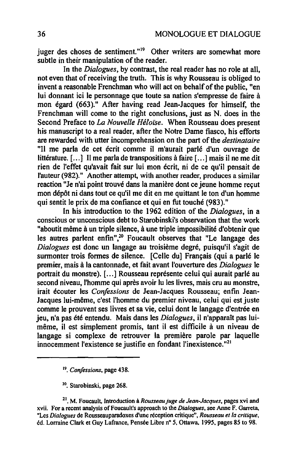juger des choses de sentiment."<sup>19</sup> Other writers are somewhat more subtle in their manipulation of the reader.

In the *Dialogues,* by contrast, the real reader has no role at ail, not even that of receiving the truth. This is why Rousseau is obliged to invent a reasonable Frenchman who will act on behalf of the public, "en lui donnant ici le personnage que toute sa nation s'empresse de faire à mon égard (663)." After having read Jean-Jacques for himself, the Frenchman will come to the right conclusions, just as N. does in the Second Preface to *La Nouvelle Héloïse.* When Rousseau does present his manuscript to a real reader, after the Notre Dame fiasco, his efforts are rewarded with utter incomprehension on the part of the *destinataire*  "Il me parla de cet écrit comme il m'aurait parlé d'un ouvrage de littérature. [...] Il me parla de transpositions à faire [...] mais il ne me dit rien de l'effet qu'avait fait sur lui mon écrit, ni de ce qu'il pensait de l'auteur (982)." Another attempt, with another reader, produces a similar reaction "Je n'ai point trouvé dans la manière dont ce jeune homme reçut mon dépôt ni dans tout ce qu'il me dit en me quittant le ton d'un homme qui sentit le prix de ma confiance et qui en fut touché (983)."

In his introduction to the 1962 edition of the *Dialogues,* in a conscious or unconscious debt to Starobinski's observation that the work "aboutit même à un triple silence, à une triple impossibilité d'obtenir que les autres parlent enfin",<sup>20</sup> Foucault observes that "Le langage des *Dialogues* est donc un langage au troisième degré, puisqu'il s'agit de surmonter trois formes de silence. [Celle du] Français (qui a parlé le premier, mais à la cantonnade, et fait avant l'ouverture des *Dialogues* le portrait du monstre). [ ... ] Rousseau représente celui qui aurait parlé au second niveau, l'homme qui après avoir lu les livres, mais cru au monstre, irait écouter les *Confessions* de Jean-Jacques Rousseau; enfin Jean-Jacques lui-même, c'est l'homme du premier niveau, celui qui est juste comme le prouvent ses livres et sa vie, celui dont le langage d'entrée en jeu, n'a pas été entendu. Mais dans les *Dialogues,* il n'apparaît pas luimême, il est simplement promis, tant il est difficile à un niveau de langage si complexe de retrouver la première parole par laquelle innocemment l'existence se justifie en fondant l'inexistence."21

20. Starobinski, page 268.

<sup>19.</sup> *Confessions,* page 438.

<sup>&</sup>lt;sup>21</sup>. M. Foucault, Introduction à *Rousseau juge de Jean-Jacques*, pages xvi and xvii. For a recent analysis of Foucault's approach to the *Dialogues,* see Anne F. Garreta, "Les *Dialogues* de Rousseauparadoxes d'une réception critique", *Rousseau et la critique,*  éd. Lorraine Clark et Guy Lafrance, Pensée Libre nº 5, Ottawa, 1995, pages 85 to 98.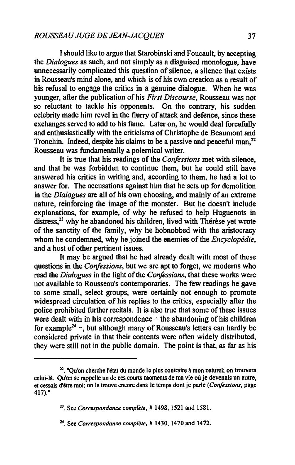1 should like to argue that Starobinski and Foucault, by accepting the *Dialogues* as such, and not simply as a disguised monologue, have unnecessarily complicated this question of silence, a silence that exists in Rousseau's mind alone, and which is of his own creation as a result of his refusai to engage the critics in a genuine dialogue. When he was younger, after the publication of his *First Discourse,* Rousseau was not so reluctant to tackle his opponents. On the contrary, his sudden celebrity made him revel in the flurry of attack and defence, since these exchanges served to add to his fame. Later on, he would deal forcefully and enthusiastically with the criticisrns of Christophe de Beaumont and Tronchin. Indeed, despite his claims to be a passive and peaceful man,<sup>22</sup> Rousseau was fundamentally a polernical writer.

It is true that his readings of the *Confessions* met with silence, and that he was forbidden to continue them, but he could still have answered his critics in writing and, according to them, he had a lot to answer for. The accusations against him that he sets up for demolition in the *Dialogues* are ail ofhis own choosing, and mainly of an extreme nature, reinforcing the image of the monster. But he doesn't include explanations, for example, of why he refused to help Huguenots in distress,<sup>23</sup> why he abandoned his children, lived with Thérèse yet wrote of the sanctity of the family, why he hobnobbed with the aristocracy whom he condemned, why he joined the enemies of the *Encyclopédie,*  and a host of other pertinent issues.

It may be argued that he had already dealt with most of these questions in the *Confessions,* but we are apt to forget, we modems who read the *Dialogues* in the Iight of the *Confessions,* that these works were not available to Rousseau's contemporaries. The few readings he gave to sorne small, select groups, were certainly not enough to promote widespread circulation of his replies to the critics, especially after the police prohibited further recitals. It is also true that sorne of these issues were dealt with in his correspondence  $\sim$  the abandoning of his children for example<sup>24</sup> -, but although many of Rousseau's letters can hardly be considered private in that their contents were often widely distributed, they were still not in the public domain. The point is that, as far as his

<sup>&</sup>lt;sup>22</sup>. "Ou'on cherche l'état du monde le plus contraire à mon naturel; on trouvera celui-là Qu'on se rappelle un de ces courts moments de ma vie où je devenais un autre, et cessais d'être moi; on le trouve encore dans le temps dont je parle *(Confissions,* page 417)."

<sup>23.</sup> See *Correspondance complète,* # 1498, 1521 and 1581.

<sup>24.</sup> See *Correspondance complète,* # 1430, 1470 and 1472.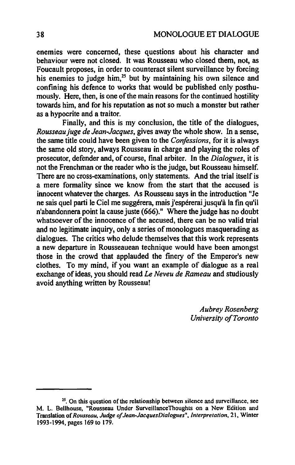enemies were concemed, these questions about his character and behaviour were not closed. It was Rousseau who closed them, not, as Foucault proposes, in order to counteract silent surveillance by forcing his enemies to judge him,<sup>25</sup> but by maintaining his own silence and confining his defence to works that would be published only posthumously. Here, then, is one of the main reasons for the continued hostility towards him, and for his reputation as not so much a monster but rather as a hypocrite and a traitor.

Finally, and this is my conclusion, the title of the dialogues, *Rousseau juge de Jean-Jacques,* gives away the whole show. In a sense, the same title could have been given to the *Confèssions,* for it is always the same old story, always Rousseau in charge and playing the roles of prosecutor, defender and, of course, final arbiter. In the *Dialogues,* it is not the Frenchman or the reader who is the judge, but Rousseau himself. There are no cross-examinations, only statements. And the trial itself is a mere formality since we know from the start that the accused is innocent whatever the charges. As Rousseau says in the introduction "Je ne sais quel parti le Ciel me suggérera, mais j'espérerai jusqu'à la fm qu'il n'abandonnera point la cause juste (666)." Where the judge has no doubt whatsoever of the innocence of the accused, there can be no valid trial and no legitimate inquiry, only a series of monologues masquerading as dialogues. The critics who delude themselves that this work represents a new departure in Rousseauean technique would have been amongst those in the crowd that applauded the finery of the Emperor's new clothes. To my mind, if you want an example of dialogue as a real exchange of ideas, you should read *Le Neveu de Rameau* and studiously avoid anything written by Rousseau!

> *Aubrey Rosenberg University of Toronto*

 $2<sup>25</sup>$ . On this question of the relationship between silence and surveillance, see M. L. Bellhouse, "Rousseau Under SurveillanceThoughts on a New Edition and Translation of *Rousseau, Judge of Jean-JacquesDiaJogues", Interpretation,* 21, Winter 1993-1994, pages 169 to 179.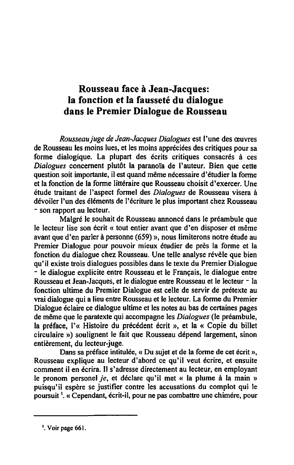## Rousseau face à Jean-Jacques: la fonction et la fausseté du dialogue dans le Premier Dialogue de Rousseau

*Rousseaujuge de Jean..Jacques Dialogues* est l'une des œuvres de Rousseau les moins lues, et les moins appréciées des critiques pour sa forme dialogique. La plupart des écrits critiques consacrés à ces *Dialogues* concernent plutôt la paranoïa de l'auteur. Bien que cette question soit importante, il est quand même nécessaire d'étudier la forme et la fonction de la forme littéraire que Rousseau choisit d'exercer. Une étude traitant de l'aspect formel des *Dialogues* de Rousseau visera à dévoiler l'un des éléments de l'écriture le plus important chez Rousseau - son rapport au lecteur.

Malgré le souhait de Rousseau annoncé dans le préambule que le lecteur lise son écrit « tout entier avant que d'en disposer et même avant que d'en parler à personne (659) », nous limiterons notre étude au Premier Dialogue pour pouvoir mieux étudier de près la forme et la fonction du dialogue chez Rousseau. Une telle analyse révèle que bien qu'il existe trois dialogues possibles dans le texte du Premier Dialogue - le dialogue explicite entre Rousseau et le Français, le dialogue entre Rousseau et Jean-Jacques, et le dialogue entre Rousseau et le lecteur - la fonction ultime du Premier Dialogue est celle de servir de prétexte au vrai dialogue qui a lieu entre Rousseau et le lecteur. La forme du Premier Dialogue éclaire ce dialogue ultime et les notes au bas de certaines pages de même que le paratexte qui accompagne les *Dialogues* (le préambule, la préface, 1'« Histoire du précédent écrit », et la « Copie du billet circulaire») soulignent le fait que Rousseau dépend largement, sinon entièrement, du lecteur-juge.

Dans sa préface intitulée, « Du sujet et de la forme de cet écrit », Rousseau explique au lecteur d'abord ce qu'il veut écrire, et ensuite comment il en écrira. Il s'adresse directement au lecteur, en employant le pronom personel *je,* et déclare qu'il met « la plume à la main» puisqu'il espère se justifier contre les accusations du complot qui le poursuit 1. « Cependant, écrit-il, pour ne pas combattre une chimére, pour

<sup>1.</sup> Voir page 661.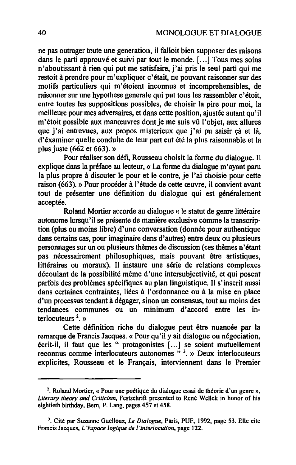ne pas outrager toute une generation, il falloit bien supposer des raisons dans le parti approuvé et suivi par tout le monde. [...] Tous mes soins n'aboutissant à rien qui put me satisfaire, j'ai pris le seul parti qui me restoit à prendre pour m'expliquer c'était, ne pouvant raisonner sur des motifs particuliers qui m'étoient inconnus et incomprehensibles, de raisonner sur une hypothese generale qui put tous les rassembler c'étoit, entre toutes les suppositions possibles, de choisir la pire pour moi, la meilleure pour mes adversaires, et dans cette position, ajustée autant qu'il m'étoit possible aux manœuvres dont je me suis vû l'objet, aux allures que j'ai entrevues, aux propos misterieux que j'ai pu saisir çà et là, d'éxaminer quelle conduite de leur part eut été la plus raisonnable et la plus juste (662 et 663). »

Pour réaliser son défi, Rousseau choisit la forme du dialogue. Il explique dans la préface au lecteur, « La forme du dialogue m'ayant paru la plus propre à discuter le pour et le contre, je l'ai choisie pour cette raison (663). » Pour procéder à l'étude de cette œuvre, il convient avant tout de présenter une définition du dialogue qui est généralement acceptée.

Roland Mortier accorde au dialogue « le statut de genre littéraire autonome lorsqu'il se présente de manière exclusive comme la transcription (plus ou moins libre) d'une conversation (donnée pour authentique dans certains cas, pour imaginaire dans d'autres) entre deux ou plusieurs personnages sur un ou plusieurs thèmes de discussion (ces thèmes n'étant pas nécessairement philosophiques, mais pouvant être artistiques, littéraires ou moraux), Il instaure une série de relations complexes découlant de la possibilité même d'une intersubjectivité, et qui posent parfois des problèmes spécifiques au plan linguistique. Il s'inscrit aussi dans certaines contraintes, liées à l'ordonnance ou à la mise en place d'un processus tendant à dégager, sinon un consensus, tout au moins des tendances communes ou un minimum d'accord entre les interlocuteurs  $2$ , »

Cette définition riche du dialogue peut être nuancée par la remarque de Francis Jacques, « Pour qu'il y ait dialogue ou négociation, écrit-il, il faut que les" protagonistes [ .. ,] se soient mutuellement reconnus comme interlocuteurs autonomes" 3. » Deux interlocuteurs explicites, Rousseau et le Français, interviennent dans le Premier

<sup>2.</sup> Roland Mortier, « Pour une poétique du dialogue essai de théorie d'un genre », *Literary theory and Criticism,* Festschrift presented to René Wellek in honor of his eightieth birthday, Bem, P. Lang, pages 457 et 458.

<sup>&</sup>lt;sup>3</sup>. Cité par Suzanne Guellouz, *Le Dialogue*, Paris, PUF, 1992, page 53. Elle cite Francis Jacques, *L'Espace logique de ['inter/ocution,* page 122.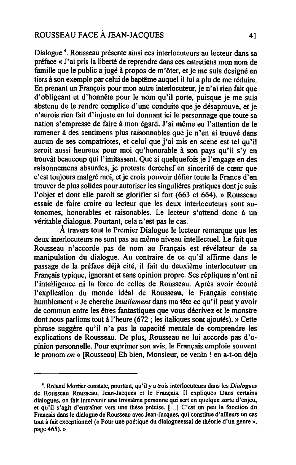#### ROUSSEAU FACE À JEAN-JACQUES 41

Dialogue 4. Rousseau présente ainsi ces interlocuteurs au lecteur dans sa préface « J'ai pris la liberté de reprendre dans ces entretiens mon nom de famille que le public ajugé à propos de m'ôter, et je me suis designé en tiers à son exemple par celui de baptême auquel il lui a plu de me réduire. En prenant un François pour mon autre interlocuteur, je n'ai rien fait que d'obligeant et d'honnête pour le nom qu'il porte, puisque je me suis abstenu de le rendre complice d'une conduite que je désaprouve, et je n'aurois rien fait d'injuste en lui donnant ici le personnage que toute sa nation s'empresse de faire à mon égard. J'ai même eu l'attention de le ramener à des sentimens plus raisonnables que je n'en ai trouvé dans aucun de ses compatriotes, et celui que j'ai mis en scene est tel qu'il seroit aussi heureux pour moi qu'honorable à son pays qu'il s'y en trouvât beaucoup qui l'imitassent. Que si quelquefois je l'engage en des raisonnemens absurdes, je proteste derechef en sincerité de cœur que c'est toujours malgré moi, et je crois pouvoir défier toute la France d'en trouver de plus solides pour autoriser les singuliéres pratiques dont je suis l'objet et dont elle paroit se glorifier si fort (663 et 664). » Rousseau essaie de faire croire au lecteur que les deux interlocuteurs sont autonomes, honorables et raisonables. Le lecteur s'attend donc à un véritable dialogue. Pourtant, cela n'est pas le cas.

À travers tout le Premier Dialogue le lecteur remarque que les deux interlocuteurs ne sont pas au même niveau intellectuel. Le fait que Rousseau n'accorde pas de nom au Français est révélateur de sa manipulation du dialogue. Au contraire de ce qu'il affirme dans le passage de la préface déjà cité, il fait du deuxième interlocuteur un Français typique, ignorant et sans opinion propre. Ses répliques n'ont ni l'intelligence ni la force de celles de Rousseau. Après avoir écouté l'explication du monde idéal de Rousseau, le Français constate humblement « Je cherche *inutilement* dans ma tête ce qu'il peut y avoir de commun entre les êtres fantastiques que vous décrivez et le monstre dont nous parlions tout à l'heure (672 ; les italiques sont ajoutés). » Cette phrase suggère qu'il n'a pas la capacité mentale de comprendre les explications de Rousseau. De plus, Rousseau ne lui accorde pas d'opinion personnelle. Pour exprimer son avis, le Français emploie souvent le pronom *on* « [Rousseau] Eh bien, Monsieur, ce venin ! en a-t-on déja

<sup>4.</sup> Roland Mortier constate, pourtant, qu'il y a trois interlocuteurs dans les *Dialogues*  de Rousseau Rousseau, Jean-Jacques et le Français. Il explique« Dans certains dialogues, on fait intervenir une troisième personne qui sert en quelque sorte d'enjeu, et qu'il s'agit d'entraîner vers une thèse précise. [...] C'est un peu la fonction du Français dans le dialogue de Rousseau avec Jean-Jacques, qui constitue d'ailleurs un cas tout à fàit exceptionnel (<< Pour une poétique du dialogueessai de théorie d'un genre», page 465). »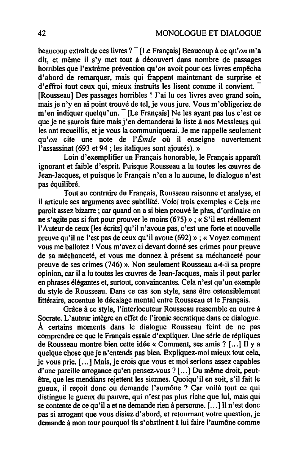beaucoup extrait de ces livres? - [Le Français] Beaucoup à ce *qu'on* m'a dit, et même il s'y met tout à découvert dans nombre de passages horribles que l'extrème prévention qu'on avoit pour ces livres empêcha d'abord de remarquer, mais qui frappent maintenant de surprise et d'effroi tout ceux qui, mieux instruits les lisent comme il convient. [Rousseau] Des passages horribles ! J'ai lu ces livres avec grand soin, mais je n'yen ai point trouvé de tel. je vous jure. Vous m'obligeriez de m'en indiquer quelqu'un. [Le Français] Ne les ayant pas lus c'est ce que je ne saurois faire mais j'en demanderai la liste à nos Messieurs qui les ont recueillis, et je vous la communiquerai. Je me rappelle seulement qu'on cite une note de *l'Émile* où il enseigne ouvertement l'assassinat (693 et 94; les italiques sont ajoutés). »

Loin d'exemplifier un Français honorable, le Français apparaît ignorant et faible d'esprit. Puisque Rousseau a lu toutes les œuvres de Jean-Jacques, et puisque le Français n'en a lu aucune, le dialogue n'est pas équilibré.

Tout au contraire du Français, Rousseau raisonne et analyse, et il articule ses arguments avec subtilité. Voici trois exemples « Cela me paroit assez bizarre; car quand on a si bien prouvé le plus, d'ordinaire on ne s'agite pas si fort pour prouver le moins (675») ; « S'il est réellement l'Auteur de ceux [les écrits] qu'il n'avoue pas, c'est une forte et nouvelle preuve qu'il ne l'est pas de ceux qu'il avoue (692) » ; « Voyez comment vous me ballotez ! Vous m' avez ci devant donné ses crimes pour preuve de sa méchanceté, et vous me donnez à présent sa méchanceté pour preuve de ses crimes (746) ». Non seulement Rousseau a-t-il sa propre opinion, car il a lu toutes les œuvres de Jean-Jacques, mais il peut parler en phrases élégantes et, surtout, convaincantes. Cela n'est qu'un exemple du style de Rousseau. Dans ce cas son style, sans être ostensiblement littéraire, accentue le décalage mental entre Rousseau et le Français.

Grâce à ce style, l'interlocuteur Rousseau ressemble en outre à Socrate. L'auteur intègre en effet de l'ironie socratique dans ce dialogue. À certains moments dans le dialogue Rousseau feint de ne pas comprendre ce que le Français essaie d'expliquer. Une série de répliques de Rousseau montre bien cette idée « Comment, ses amis? [ ... ] Il Y a quelque chose que je n'entends pas bien. Expliquez-moi mieux tout cela, je vous prie. [ ... ] Mais, je crois que vous et moi serions assez capables d'une pareille arrogance qu'en pensez-vous? [ ... ] Du même droit, peutêtre, que les mendians rejettent les siennes. Quoiqu'il en soit, s'il fait le gueux, il reçoit donc ou demande l'aumône? Car voilà tout ce qui distingue le gueux du pauvre, qui n'est pas plus riche que lui, mais qui se contente de ce qu'il a et ne demande rien à personne. [...] Il n'est donc pas si arrogant que vous disiez d'abord, et retournant votre question, je demande à mon tour pourquoi ils s'obstinent à lui faire l'aumône comme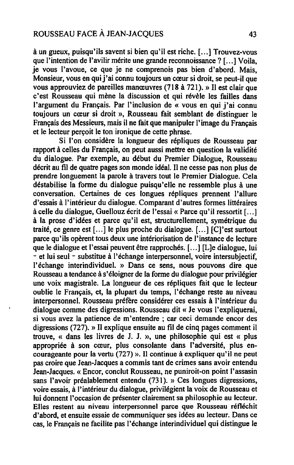à un gueux, puisqu'ils savent si bien qu'il est riche. [ ... ] Trouvez-vous que l'intention de l'avilir mérite une grande reconnoissance ? [...] Voila, je vous l'avoue, ce que je ne comprenois pas bien d'abord. Mais, Monsieur, vous en qui j'ai connu toujours un cœur si droit, se peut-il que vous approuviez de pareilles manœuvres (718 à 721). » Il est clair que c'est Rousseau qui mène la discussion et qui révèle les failles dans l'argument du Français. Par l'inclusion de « vous en qui j'ai connu toujours un cœur si droit », Rousseau fait semblant de distinguer le Français des Messieurs, mais il ne fait que manipuler l'image du Français et le lecteur perçoit le ton ironique de cette phrase.

Si l'on considère la longueur des répliques de Rousseau par rapport à celles du Français, on peut aussi mettre en question la validité du dialogue. Par exemple, au début du Premier Dialogue, Rousseau décrit au fil de quatre pages son monde idéal. Il ne cesse pas non plus de prendre longuement la parole à travers tout le Premier Dialogue. Cela déstabilise la forme du dialogue puisqu'elle ne ressemble plus à une conversation. Certaines de ces longues répliques prennent l'allure d'essais à l'intérieur du dialogue. Comparant d'autres formes littéraires à celle du dialogue, Guellouz écrit de l'essai<< Parce qu'il ressortit [ ... ] à la prose d'idées et parce qu'il est, structurellement, symétrique du traité, ce genre est  $[\dots]$  le plus proche du dialogue.  $[\dots]$   $[C]'$  est surtout parce qu'ils opèrent tous deux une intériorisation de l'instance de lecture que le dialogue et l'essai peuvent être rapprochés. [...] [L]e dialogue, lui - et lui seul - substitue à l'échange interpersonnel, voire intersubjectif, l'échange interindividuel. » Dans ce sens, nous pouvons dire que Rousseau a tendance à s'éloigner de la forme du dialogue pour privilégier une voix magistrale. La longueur de ces répliques fait que le lecteur oublie le Français, et, la plupart du temps, l'échange reste au niveau interpersonnel. Rousseau préfère considérer ces essais à l'intérieur du dialogue comme des digressions. Rousseau dit « Je vous l'expliquerai, si vous avez la patience de m'entendre; car ceci demande encor des digressions (727). » Il explique ensuite au fil de cinq pages comment il trouve, « dans les livres de J. J. », une philosophie qui est « plus appropriée à son cœur, plus consolante dans l'adversité, plus encourageante pour la vertu (727) ». Il continue à expliquer qu'il ne peut pas croire que Jean-Jacques a commis tant de crimes sans avoir entendu Jean-Jacques. « Encor, conclut Rousseau, ne puniroit-on point l'assasin sans l'avoir préalablement entendu (731). » Ces longues digressions, voire essais, à l'intérieur du dialogue, privilégient la voix de Rousseau et lui donnent l'occasion de présenter clairement sa philosophie au lecteur. Elles restent au niveau interpersonnel parce que Rousseau réfléchit d'abord, et ensuite essaie de communiquer ses idées au lecteur. Dans ce cas, le Français ne facilite pas l'échange interindividuel qui distingue le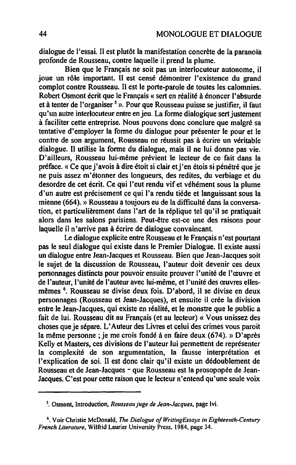dialogue de l'essai. Il est plutôt la manifestation concrète de la paranoïa profonde de Rousseau, contre laquelle il prend la plume.

Bien que le Français ne soit pas un interlocuteur autonome, il joue un rôle important. Il est censé démontrer l'existence du grand complot contre Rousseau. Il est le porte-parole de toutes les calomnies. Robert Osmont écrit que le Français « sert en réalité à énoncer l'absurde et à tenter de l'organiser<sup>5</sup>». Pour que Rousseau puisse se justifier, il faut qu'un autre interlocuteur entre enjeu. La forme dialogique sert justement à faciliter cette entreprise. Nous pouvons donc conclure que malgré sa tentative d'employer la forme du dialogue pour présenter le pour et le contre de son argument, Rousseau ne réussit pas à écrire un véritable dialogue. Il utilise la forme du dialogue, mais il ne lui donne pas vie. D'ailleurs, Rousseau lui-même prévient le lecteur de ce fait dans la préface. « Ce que j' avois à dire étoit si clair et j'en étois si pénétré que je ne puis assez m'étonner des longueurs, des redites, du verbiage et du desordre de cet écrit. Ce qui l'eut rendu vif et véhément sous la plume d'un autre est précisement ce qui l'a rendu tiéde et languissant sous la mienne (664). » Rousseau a toujours eu de la difficulté dans la conversation, et particulièrement dans l'art de la réplique tel qu'il se pratiquait alors dans les salons parisiens. Peut-être est-ce une des raisons pour laquelle il n'arrive pas à écrire de dialogue convaincant.

Le dialogue explicite entre Rousseau et le Français n'est pourtant pas le seul dialogue qui existe dans le Premier Dialogue. Il existe aussi un dialogue entre Jean-Jacques et Rousseau. Bien que Jean-Jacques soit le sujet de la discussion de Rousseau, l'auteur doit devenir ces deux personnages distincts pour pouvoir ensuite prouver l'unité de l'œuvre et de l'auteur, l'unité de l'auteur avec lui-même, et l'unité des œuvres ellesmêmes 6. Rousseau se divise deux fois. D'abord, il se divise en deux personnages (Rousseau et Jean-Jacques), et ensuite il crée la division entre le Jean-Jacques, qui existe en réalité, et le monstre que le public a fait de lui. Rousseau dit au Français (et au lecteur) « Vous unissez des choses que je sépare. L'Auteur des Livres et celui des crimes vous paroit la même personne; je me crois fondé à en faire deux (674). » D'après Kelly et Masters, ces divisions de l'auteur lui permettent de représenter la complexité de son argumentation, la fausse interprétation et l'explication de soi. Il est donc clair qu'il existe un dédoublement de Rousseau et de Jean-Jacques - que Rousseau est la prosopopée de Jean-Jacques. C'est pour cette raison que le lecteur n'entend qu'une seule voix

*s.* Osmont, Introduction, *Rousseaujuge de Jean-Jacques,* page Ivi.

<sup>&</sup>lt;sup>6</sup>. Voir Christie McDonald, *The Dialogue of WritingEssays in Eighteenth-Century French Literature,* Wilfrid Laurier University Press, 1984, page 34.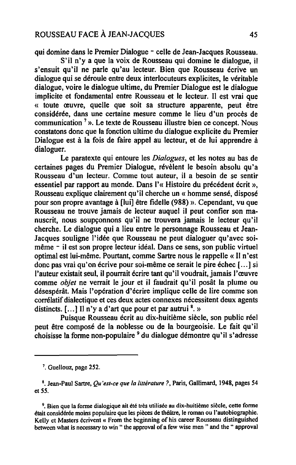qui domine dans le Premier Dialogue - celle de Jean-Jacques Rousseau.

S'il n'y a que la voix de Rousseau qui domine le dialogue, il s'ensuit qu'il ne parle qu'au lecteur. Bien que Rousseau écrive un dialogue qui se déroule entre deux interlocuteurs explicites, le véritable dialogue, voire le dialogue ultime, du Premier Dialogue est le dialogue implicite et fondamental entre Rousseau et le lecteur. Il est vrai que « toute œuvre, quelle que soit sa structure apparente, peut être considérée, dans une certaine mesure comme le lieu d'un procès de communication 7». Le texte de Rousseau illustre bien ce concept. Nous constatons donc que la fonction ultime du dialogue explicite du Premier Dialogue est à la fois de faire appel au lecteur, et de lui apprendre à dialoguer.

Le paratexte qui entoure les *Dialogues,* et les notes au bas de certaines pages du Premier Dialogue, révèlent le besoin absolu qu'a Rousseau d'un lecteur. Comme tout auteur, il a besoin de se sentir essentiel par rapport au monde. Dans 1'« Histoire du précédent écrit », Rousseau explique clairement qu'il cherche un « homme sensé, disposé pour son propre avantage à [lui] être fidelle (988) ». Cependant, vu que Rousseau ne trouve jamais de lecteur auquel il peut confier son manuscrit, nous soupçonnons qu'il ne trouvera jamais le lecteur qu'il cherche. Le dialogue qui a lieu entre le personnage Rousseau et Jean-Jacques souligne l'idée que Rousseau ne peut dialoguer qu'avec soimême - il est son propre lecteur idéal. Dans ce sens, son public virtuel optimal est lui-même. Pourtant, comme Sartre nous le rappelle « Il n'est donc pas vrai qu'on écrive pour soi-même ce serait le pire échec [ ... ] si l'auteur existait seul, il pourrait écrire tant qu'il voudrait, jamais l'œuvre comme *objet* ne verrait le jour et il faudrait qu'il posât la plume ou désespérât. Mais l'opération d'écrire implique celle de lire comme son corrélatif dialectique et ces deux actes connexes nécessitent deux agents distincts.  $[\dots]$  Il n'y a d'art que pour et par autrui  $\frac{8}{1}$  »

Puisque Rousseau écrit au dix-huitième siècle, son public réel peut être composé de la noblesse ou de la bourgeoisie. Le fait qu'il choisisse la forme non-populaire <sup>9</sup> du dialogue démontre qu'il s'adresse

<sup>9</sup>. Bien que la forme dialogique ait été très utilisée au dix-huitième siècle, cette forme était considérée moins populaire que les pièces de théâtre, le roman ou l'autobiographie. Kelly et Masters écrivent « From the beginning of his career Rousseau distinguished between what is necessary to win " the approval of a few wise men " and the " approval

<sup>7.</sup> Guellouz, page 252.

<sup>8.</sup> Jean-Paul Sartre, *Qu'est-ce que la littérature?,* Paris, Gallimard, 1948, pages 54 et 55.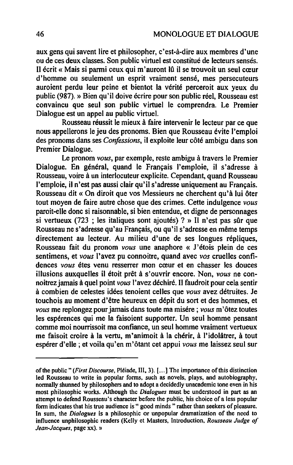aux gens qui savent lire et philosopher, c'est-à-dire aux membres d'une ou de ces deux classes. Son public virtuel est constitué de lecteurs sensés. Il écrit « Mais si parmi ceux qui m'auront lû il se trouvoit un seul cœur d'homme ou seulement un esprit vraiment sensé, mes persecuteurs auroient perdu leur peine et bientot la vérité perceroit aux yeux du public (987). » Bien qu'il doive écrire pour son public réel, Rousseau est convaincu que seul son public virtuel le comprendra. Le Premier Dialogue est un appel au public virtuel.

Rousseau réussit le mieux à faire intervenir le lecteur par ce que nous appellerons le jeu des pronoms. Bien que Rousseau évite l'emploi des pronoms dans ses *Confessions,* il exploite leur côté ambigu dans son Premier Dialogue.

Le pronom *vous,* par exemple, reste ambigu à travers le Premier Dialogue. En général, quand le Français l'emploie, il s'adresse à Rousseau, voire à un interlocuteur explicite. Cependant, quand Rousseau l'emploie, il n'est pas aussi clair qu'il s'adresse uniquement au Français. Rousseau dit « On diroit que vos Messieurs ne cherchent qu'à lui ôter tout moyen de faire autre chose que des crimes. Cette indulgence *vous*  paroit-elle donc si raisonnable, si bien entendue, et digne de personnages si vertueux (723 ; les italiques sont ajoutés) ? » Il n'est pas sûr que Rousseau ne s'adresse qu'au Français, ou qu'il s'adresse en même temps directement au lecteur. Au milieu d'une de ses longues répliques, Rousseau fait du pronom *vous* une anaphore « J'étois plein de ces sentimens, et *vous* l'avez pu connoitre, quand avec *vos* cruelles confidences *vous* étes venu resserrer mon cœur et en chasser les douces illusions auxquelles il étoit prêt à s'ouvrir encore. Non, *vous* ne connoitrezjamais à quel point *vous* l'avez déchiré. Il faudroit pour cela sentir à combien de celestes idées tenoient celles que *vous* avez détruites. Je touchois au moment d'être heureux en dépit du sort et des hommes, et *vous* me replongez pour jamais dans toute ma misére; *vous* m'ôtez toutes les espérences qui me la faisoient supporter. Un seul homme pensant comme moi nourrissoit ma confiance, un seul homme vraiment vertueux me faisait croire à la vertu, m'animoit à la chérir, à l'idolâtrer, à tout espérer d'elle; et voila qu'en m'ôtant cet appui *vous* me laissez seul sur

of the public" *(First Discourse,* Pléiade, III, 3). [ ... 1 The importance ofthis distinction led Rousseau to write in popular fonns, such as novels, plays, and autobiography, normally shunned by philosophers and to adopt a decidedly unacademic tone even in his most philosophic works. Although the *Dialogues* must be understood in part as an attempt to defend Rousseau's character before the public, his choice of a less popular form indicates that his true audience is " good minds " rather than seekers of pleasure. In sum, the *Dialogues* is a philosophic or unpopular dramatization of the need to influence unphilosophic readers (Kelly et Masters, Introduction, *Rousseau Judge of Jean-Jacques,* page xx). »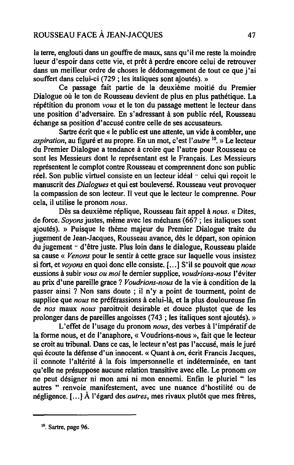la terre, englouti dans un gouffre de maux, sans qu'il me reste la moindre lueur d'espoir dans cette vie, et prêt à perdre encore celui de retrouver dans un meilleur ordre de choses le dédomagement de tout ce que j'ai souffert dans celui-ci (729 ; les italiques sont ajoutés). »

Ce passage fait partie de la deuxième moitié du Premier Dialogue où le ton de Rousseau devient de plus en plus pathétique. La répétition du pronom *vous* et le ton du passage mettent le lecteur dans une position d'adversaire. En s'adressant à son public réel, Rousseau échange sa position d'accusé contre celle de ses accusateurs.

Sartre écrit que « le public est une attente, un vide à combler, une *aspiration,* au figuré et au propre. En un mot, c'est *l'autre* 10. » Le lecteur du Premier Dialogue a tendance à croire que l'autre pour Rousseau ce sont les Messieurs dont le représentant est le Français. Les Messieurs représentent le complot contre Rousseau et comprennent donc son public réel. Son public virtuel consiste en un lecteur idéal - celui qui reçoit le manuscrit des *Dialogues* et qui est bouleversé. Rousseau veut provoquer la compassion de son lecteur. Il veut que le lecteur le comprenne. Pour cela, il utilise le pronom *nous.* 

Dès sa deuxième réplique, Rousseau fait appel à *nous.* « Dites, de force. *Soyons* justes, même avec les méchans (667 ; les italiques sont ajoutés). » Puisque le thème majeur du Premier Dialogue traite du jugement de Jean-Jacques, Rousseau avance, dès le départ, son opinion du jugement - d'être juste. Plus loin dans le dialogue, Rousseau plaide sa cause « *Venons* pour le sentir à cette grace sur laquelle vous insistez si fort, et *voyons* en quoi donc elle consiste. [ ... ] S'il se pouvoit que *nous*  eussions à subir *vous ou moi* le dernier supplice, *voudrions-nous* l'éviter au prix d'une pareille grace? *Voudrions-nous* de la vie à condition de la passer ainsi ? Non sans doute ; il n'y a point de tourment, point de supplice que *nous* ne préférassions à celui-là, et la plus douloureuse fin de *nos* maux *nous* paroitroit desirable et douce plustot que de les prolonger dans de pareilles angoisses (743 ; les italiques sont ajoutés). »

L'effet de l'usage du pronom nous, des verbes à l'impératif de la forme nous, et de l'anaphore, « Voudrions-nous », fait que le lecteur se croit au tribunal. Dans ce cas, le lecteur n'est pas l'accusé, mais le juré qui écoute la défense d'un innocent. « Quant à *on,* écrit Francis Jacques, il connote l'altérité à la fois impersonnelle et indéterminée, en tant qu'elle ne présuppose aucune relation transitive avec elle. Le pronom *on*  ne peut désigner ni mon ami ni mon ennemi. Enfin le pluriel " les autres " renvoie manifestement, avec une nuance d'hostilité ou de négligence. [ ... ] À l'égard des *autres,* mes rivaux plutôt que mes frères,

<sup>&</sup>lt;sup>10</sup>. Sartre, page 96.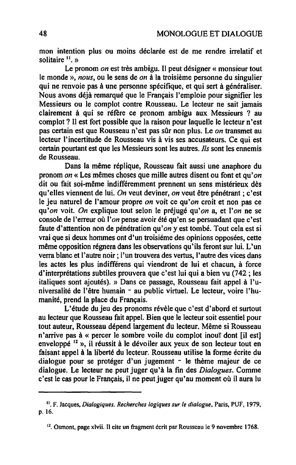mon intention plus ou moins déclarée est de me rendre irrelatif et solitaire  $\mathbf{u}$ . »

Le pronom *on* est très ambigu. Il peut désigner « monsieur tout le monde », *nous,* ou le sens de *on* à la troisième personne du singulier qui ne renvoie pas à une personne spécifique, et qui sert à généraliser. Nous avons déjà remarqué que le Français l'emploie pour signifier les Messieurs ou le complot contre Rousseau. Le lecteur ne sait jamais clairement à qui se réfère ce pronom ambigu aux Messieurs ? au complot? Il est fort possible que la raison pour laquelle le lecteur n'est pas certain est que Rousseau n'est pas sûr non plus. Le *on* transmet au lecteur l'incertitude de Rousseau vis à vis ses accusateurs. Ce qui est certain pourtant est que les Messieurs sont les autres. *Ils* sont les ennemis de Rousseau.

Dans la même réplique, Rousseau fait aussi une anaphore du pronom *on«* Les mêmes choses que mille autres disent ou font et *qu'on*  dit ou fait soi-même indifféremment prennent un sens mistérieux dès qu'elles viennent de lui. *On* veut deviner, *on* veut être pénétrant; c'est le jeu naturel de l'amour propre *on* voit ce qu'on croit et non pas ce qu'on voit. *On* explique tout selon le préjugé *qu'on* a, et *l'on* ne se console de l'erreur où *l'on* pense avoir été qu'en se persuadant que c'est faute d'attention non de pénétration *qu'on* y est tombé. Tout cela est si vrai que si deux hommes ont d'un troisiéme des opinions opposées, cette même opposition régnera dans les observations qu'ils feront sur lui. L'un verra blanc et l'autre noir; l'un trouvera des vertus, l'autre des vices dans les actes les plus indifférens qui viendront de lui et chacun, à force d'interprétations subtiles prouvera que c'est lui qui a bien vu (742; les italiques sont ajoutés). » Dans ce passage, Rousseau fait appel à l'universalité de l'être humain - au public virtuel. Le lecteur, voire l'humanité, prend la place du Français.

L'étude du jeu des pronoms révèle que c'est d'abord et surtout au lecteur que Rousseau fait appel. Bien que le lecteur soit essentiel pour tout auteur, Rousseau dépend largement du lecteur. Même si Rousseau n'arrive pas à « percer le sombre voile du complot inouï dont [il est] enveloppé 12 », il réussit à le dévoiler aux yeux de son lecteur tout en faisant appel à la liberté du lecteur. Rousseau utilise la fonne écrite du dialogue pour se protéger d'un jugement - le thème majeur de ce dialogue. Le lecteur ne peut juger qu'à la fin des *Dialogues.* Comme c'est le cas pour le Français, il ne peut juger qu'au moment où il aura lu

Il. F. Jacques, *Dialogiques. Recherches logiques sur le dialogue.* Paris, PUF, 1979. p.16.

<sup>&</sup>lt;sup>12</sup>. Osmont, page xlvii. Il cite un fragment écrit par Rousseau le 9 novembre 1768.